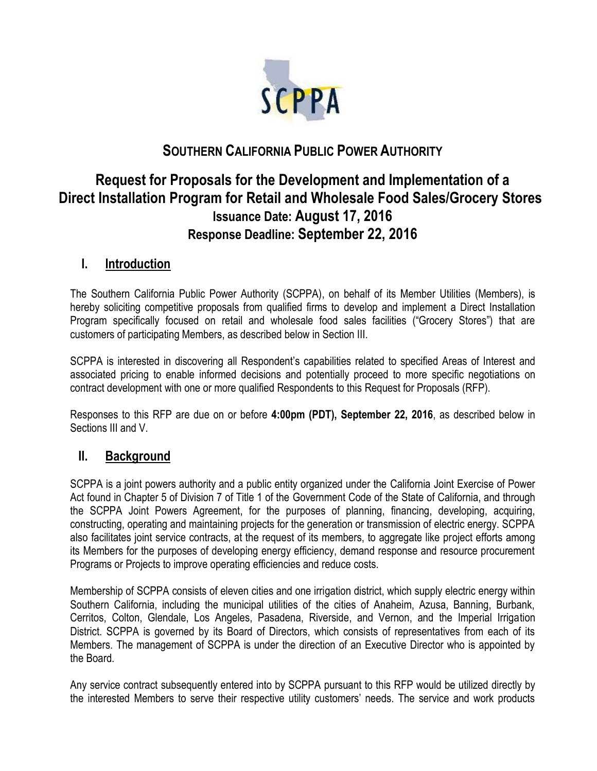

# **SOUTHERN CALIFORNIA PUBLIC POWER AUTHORITY**

# **Request for Proposals for the Development and Implementation of a Direct Installation Program for Retail and Wholesale Food Sales/Grocery Stores Issuance Date: August 17, 2016 Response Deadline: September 22, 2016**

## **I. Introduction**

The Southern California Public Power Authority (SCPPA), on behalf of its Member Utilities (Members), is hereby soliciting competitive proposals from qualified firms to develop and implement a Direct Installation Program specifically focused on retail and wholesale food sales facilities ("Grocery Stores") that are customers of participating Members, as described below in Section III.

SCPPA is interested in discovering all Respondent's capabilities related to specified Areas of Interest and associated pricing to enable informed decisions and potentially proceed to more specific negotiations on contract development with one or more qualified Respondents to this Request for Proposals (RFP).

Responses to this RFP are due on or before **4:00pm (PDT), September 22, 2016**, as described below in Sections III and V.

## **II. Background**

SCPPA is a joint powers authority and a public entity organized under the California Joint Exercise of Power Act found in Chapter 5 of Division 7 of Title 1 of the Government Code of the State of California, and through the SCPPA Joint Powers Agreement, for the purposes of planning, financing, developing, acquiring, constructing, operating and maintaining projects for the generation or transmission of electric energy. SCPPA also facilitates joint service contracts, at the request of its members, to aggregate like project efforts among its Members for the purposes of developing energy efficiency, demand response and resource procurement Programs or Projects to improve operating efficiencies and reduce costs.

Membership of SCPPA consists of eleven cities and one irrigation district, which supply electric energy within Southern California, including the municipal utilities of the cities of Anaheim, Azusa, Banning, Burbank, Cerritos, Colton, Glendale, Los Angeles, Pasadena, Riverside, and Vernon, and the Imperial Irrigation District. SCPPA is governed by its Board of Directors, which consists of representatives from each of its Members. The management of SCPPA is under the direction of an Executive Director who is appointed by the Board.

Any service contract subsequently entered into by SCPPA pursuant to this RFP would be utilized directly by the interested Members to serve their respective utility customers' needs. The service and work products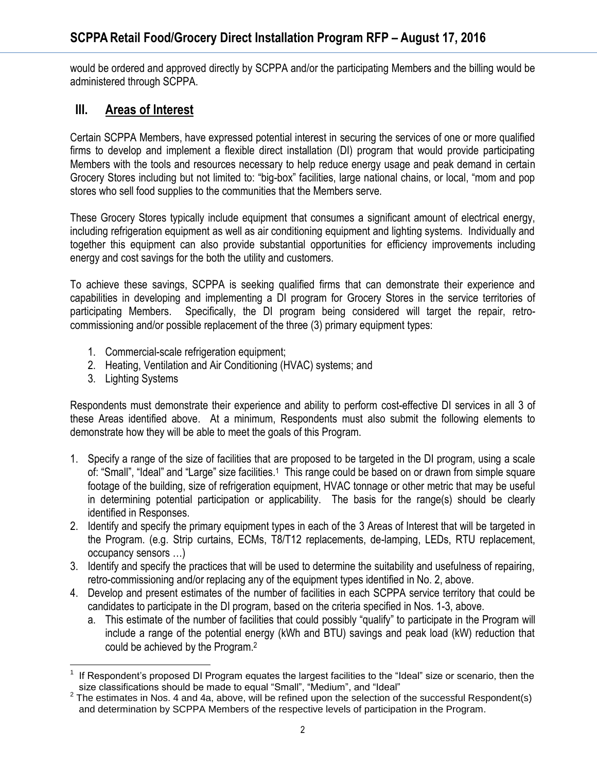would be ordered and approved directly by SCPPA and/or the participating Members and the billing would be administered through SCPPA.

## **III. Areas of Interest**

Certain SCPPA Members, have expressed potential interest in securing the services of one or more qualified firms to develop and implement a flexible direct installation (DI) program that would provide participating Members with the tools and resources necessary to help reduce energy usage and peak demand in certain Grocery Stores including but not limited to: "big-box" facilities, large national chains, or local, "mom and pop stores who sell food supplies to the communities that the Members serve.

These Grocery Stores typically include equipment that consumes a significant amount of electrical energy, including refrigeration equipment as well as air conditioning equipment and lighting systems. Individually and together this equipment can also provide substantial opportunities for efficiency improvements including energy and cost savings for the both the utility and customers.

To achieve these savings, SCPPA is seeking qualified firms that can demonstrate their experience and capabilities in developing and implementing a DI program for Grocery Stores in the service territories of participating Members. Specifically, the DI program being considered will target the repair, retrocommissioning and/or possible replacement of the three (3) primary equipment types:

- 1. Commercial-scale refrigeration equipment;
- 2. Heating, Ventilation and Air Conditioning (HVAC) systems; and
- 3. Lighting Systems

Respondents must demonstrate their experience and ability to perform cost-effective DI services in all 3 of these Areas identified above. At a minimum, Respondents must also submit the following elements to demonstrate how they will be able to meet the goals of this Program.

- 1. Specify a range of the size of facilities that are proposed to be targeted in the DI program, using a scale of: "Small", "Ideal" and "Large" size facilities.<sup>1</sup> This range could be based on or drawn from simple square footage of the building, size of refrigeration equipment, HVAC tonnage or other metric that may be useful in determining potential participation or applicability. The basis for the range(s) should be clearly identified in Responses.
- 2. Identify and specify the primary equipment types in each of the 3 Areas of Interest that will be targeted in the Program. (e.g. Strip curtains, ECMs, T8/T12 replacements, de-lamping, LEDs, RTU replacement, occupancy sensors …)
- 3. Identify and specify the practices that will be used to determine the suitability and usefulness of repairing, retro-commissioning and/or replacing any of the equipment types identified in No. 2, above.
- 4. Develop and present estimates of the number of facilities in each SCPPA service territory that could be candidates to participate in the DI program, based on the criteria specified in Nos. 1-3, above.
	- a. This estimate of the number of facilities that could possibly "qualify" to participate in the Program will include a range of the potential energy (kWh and BTU) savings and peak load (kW) reduction that could be achieved by the Program.<sup>2</sup>

 $\overline{a}$ 1 If Respondent's proposed DI Program equates the largest facilities to the "Ideal" size or scenario, then the size classifications should be made to equal "Small", "Medium", and "Ideal"

<sup>&</sup>lt;sup>2</sup> The estimates in Nos. 4 and 4a, above, will be refined upon the selection of the successful Respondent(s) and determination by SCPPA Members of the respective levels of participation in the Program.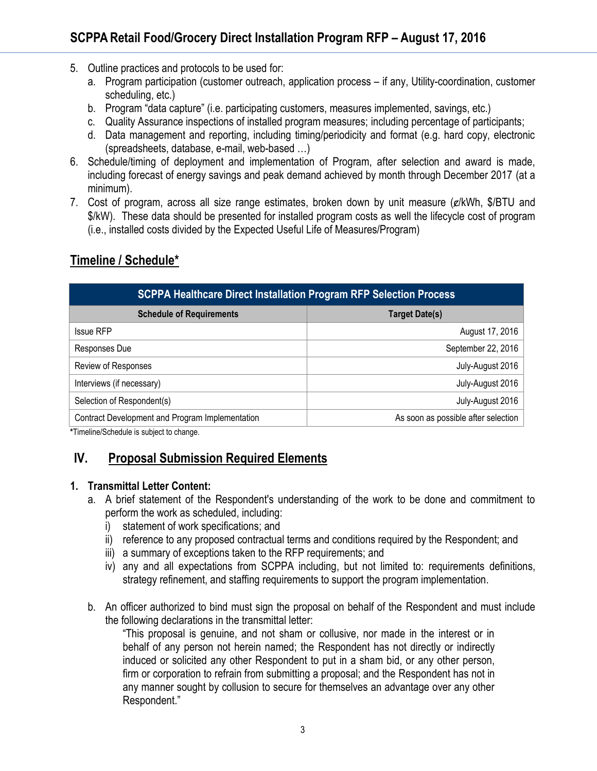- 5. Outline practices and protocols to be used for:
	- a. Program participation (customer outreach, application process if any, Utility-coordination, customer scheduling, etc.)
	- b. Program "data capture" (i.e. participating customers, measures implemented, savings, etc.)
	- c. Quality Assurance inspections of installed program measures; including percentage of participants;
	- d. Data management and reporting, including timing/periodicity and format (e.g. hard copy, electronic (spreadsheets, database, e-mail, web-based …)
- 6. Schedule/timing of deployment and implementation of Program, after selection and award is made, including forecast of energy savings and peak demand achieved by month through December 2017 (at a minimum).
- 7. Cost of program, across all size range estimates, broken down by unit measure  $(e/kWh, $/BTU$  and \$/kW). These data should be presented for installed program costs as well the lifecycle cost of program (i.e., installed costs divided by the Expected Useful Life of Measures/Program)

## **Timeline / Schedule\***

| <b>SCPPA Healthcare Direct Installation Program RFP Selection Process</b> |                                     |
|---------------------------------------------------------------------------|-------------------------------------|
| <b>Schedule of Requirements</b>                                           | <b>Target Date(s)</b>               |
| <b>Issue RFP</b>                                                          | August 17, 2016                     |
| Responses Due                                                             | September 22, 2016                  |
| Review of Responses                                                       | July-August 2016                    |
| Interviews (if necessary)                                                 | July-August 2016                    |
| Selection of Respondent(s)                                                | July-August 2016                    |
| Contract Development and Program Implementation                           | As soon as possible after selection |

**\***Timeline/Schedule is subject to change.

## **IV. Proposal Submission Required Elements**

#### **1. Transmittal Letter Content:**

- a. A brief statement of the Respondent's understanding of the work to be done and commitment to perform the work as scheduled, including:
	- i) statement of work specifications; and
	- ii) reference to any proposed contractual terms and conditions required by the Respondent; and
	- iii) a summary of exceptions taken to the RFP requirements; and
	- iv) any and all expectations from SCPPA including, but not limited to: requirements definitions, strategy refinement, and staffing requirements to support the program implementation.
- b. An officer authorized to bind must sign the proposal on behalf of the Respondent and must include the following declarations in the transmittal letter:

"This proposal is genuine, and not sham or collusive, nor made in the interest or in behalf of any person not herein named; the Respondent has not directly or indirectly induced or solicited any other Respondent to put in a sham bid, or any other person, firm or corporation to refrain from submitting a proposal; and the Respondent has not in any manner sought by collusion to secure for themselves an advantage over any other Respondent."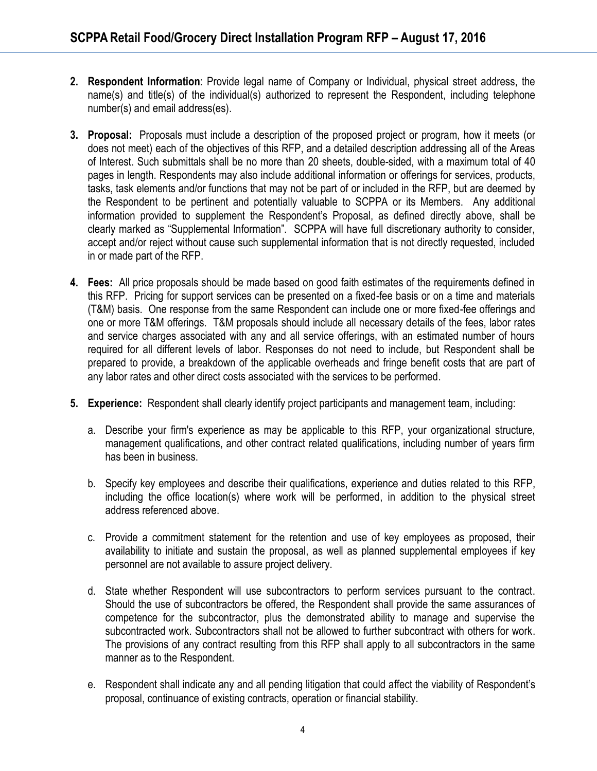- **2. Respondent Information**: Provide legal name of Company or Individual, physical street address, the name(s) and title(s) of the individual(s) authorized to represent the Respondent, including telephone number(s) and email address(es).
- **3. Proposal:** Proposals must include a description of the proposed project or program, how it meets (or does not meet) each of the objectives of this RFP, and a detailed description addressing all of the Areas of Interest. Such submittals shall be no more than 20 sheets, double-sided, with a maximum total of 40 pages in length. Respondents may also include additional information or offerings for services, products, tasks, task elements and/or functions that may not be part of or included in the RFP, but are deemed by the Respondent to be pertinent and potentially valuable to SCPPA or its Members. Any additional information provided to supplement the Respondent's Proposal, as defined directly above, shall be clearly marked as "Supplemental Information". SCPPA will have full discretionary authority to consider, accept and/or reject without cause such supplemental information that is not directly requested, included in or made part of the RFP.
- **4. Fees:** All price proposals should be made based on good faith estimates of the requirements defined in this RFP. Pricing for support services can be presented on a fixed-fee basis or on a time and materials (T&M) basis. One response from the same Respondent can include one or more fixed-fee offerings and one or more T&M offerings. T&M proposals should include all necessary details of the fees, labor rates and service charges associated with any and all service offerings, with an estimated number of hours required for all different levels of labor. Responses do not need to include, but Respondent shall be prepared to provide, a breakdown of the applicable overheads and fringe benefit costs that are part of any labor rates and other direct costs associated with the services to be performed.
- **5. Experience:** Respondent shall clearly identify project participants and management team, including:
	- a. Describe your firm's experience as may be applicable to this RFP, your organizational structure, management qualifications, and other contract related qualifications, including number of years firm has been in business.
	- b. Specify key employees and describe their qualifications, experience and duties related to this RFP, including the office location(s) where work will be performed, in addition to the physical street address referenced above.
	- c. Provide a commitment statement for the retention and use of key employees as proposed, their availability to initiate and sustain the proposal, as well as planned supplemental employees if key personnel are not available to assure project delivery.
	- d. State whether Respondent will use subcontractors to perform services pursuant to the contract. Should the use of subcontractors be offered, the Respondent shall provide the same assurances of competence for the subcontractor, plus the demonstrated ability to manage and supervise the subcontracted work. Subcontractors shall not be allowed to further subcontract with others for work. The provisions of any contract resulting from this RFP shall apply to all subcontractors in the same manner as to the Respondent.
	- e. Respondent shall indicate any and all pending litigation that could affect the viability of Respondent's proposal, continuance of existing contracts, operation or financial stability.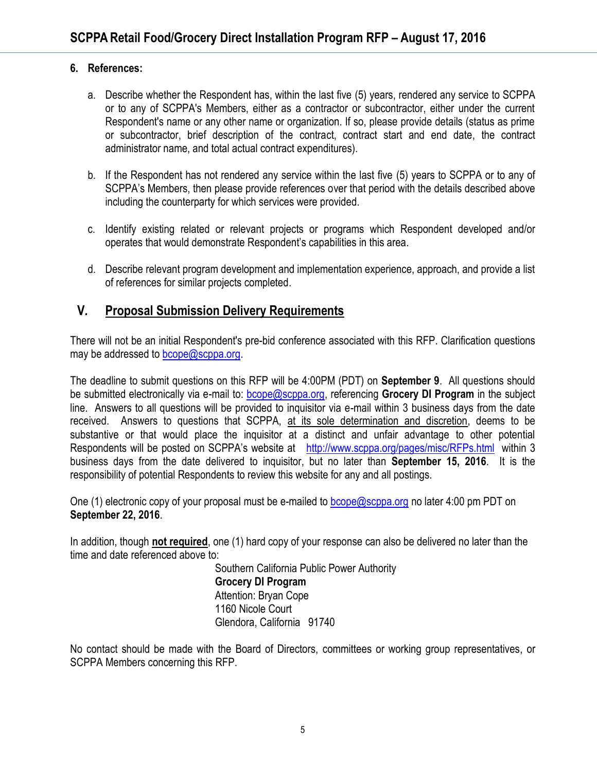#### **6. References:**

- a. Describe whether the Respondent has, within the last five (5) years, rendered any service to SCPPA or to any of SCPPA's Members, either as a contractor or subcontractor, either under the current Respondent's name or any other name or organization. If so, please provide details (status as prime or subcontractor, brief description of the contract, contract start and end date, the contract administrator name, and total actual contract expenditures).
- b. If the Respondent has not rendered any service within the last five (5) years to SCPPA or to any of SCPPA's Members, then please provide references over that period with the details described above including the counterparty for which services were provided.
- c. Identify existing related or relevant projects or programs which Respondent developed and/or operates that would demonstrate Respondent's capabilities in this area.
- d. Describe relevant program development and implementation experience, approach, and provide a list of references for similar projects completed.

## **V. Proposal Submission Delivery Requirements**

There will not be an initial Respondent's pre-bid conference associated with this RFP. Clarification questions may be addressed to [bcope@scppa.org.](mailto:bcope@scppa.org)

The deadline to submit questions on this RFP will be 4:00PM (PDT) on **September 9**. All questions should be submitted electronically via e-mail to: [bcope@scppa.org,](file://app-server/data/RFPs_RFQs_RFIs/Public%20Benefits%20Committee/Paperless%20Rebate%20Automation/RFP/bcope@scppa.org) referencing **Grocery DI Program** in the subject line. Answers to all questions will be provided to inquisitor via e-mail within 3 business days from the date received. Answers to questions that SCPPA, at its sole determination and discretion, deems to be substantive or that would place the inquisitor at a distinct and unfair advantage to other potential Respondents will be posted on SCPPA's website at <http://www.scppa.org/pages/misc/RFPs.html>within 3 business days from the date delivered to inquisitor, but no later than **September 15, 2016**. It is the responsibility of potential Respondents to review this website for any and all postings.

One (1) electronic copy of your proposal must be e-mailed to [bcope@scppa.org](mailto:bcope@scppa.org) no later 4:00 pm PDT on **September 22, 2016**.

In addition, though **not required**, one (1) hard copy of your response can also be delivered no later than the time and date referenced above to:

> Southern California Public Power Authority **Grocery DI Program** Attention: Bryan Cope 1160 Nicole Court Glendora, California 91740

No contact should be made with the Board of Directors, committees or working group representatives, or SCPPA Members concerning this RFP.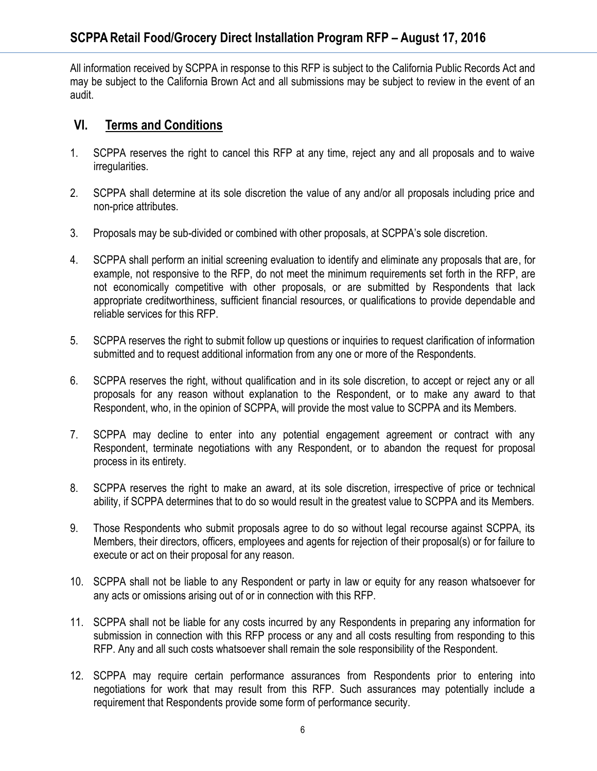All information received by SCPPA in response to this RFP is subject to the California Public Records Act and may be subject to the California Brown Act and all submissions may be subject to review in the event of an audit.

## **VI. Terms and Conditions**

- 1. SCPPA reserves the right to cancel this RFP at any time, reject any and all proposals and to waive irregularities.
- 2. SCPPA shall determine at its sole discretion the value of any and/or all proposals including price and non-price attributes.
- 3. Proposals may be sub-divided or combined with other proposals, at SCPPA's sole discretion.
- 4. SCPPA shall perform an initial screening evaluation to identify and eliminate any proposals that are, for example, not responsive to the RFP, do not meet the minimum requirements set forth in the RFP, are not economically competitive with other proposals, or are submitted by Respondents that lack appropriate creditworthiness, sufficient financial resources, or qualifications to provide dependable and reliable services for this RFP.
- 5. SCPPA reserves the right to submit follow up questions or inquiries to request clarification of information submitted and to request additional information from any one or more of the Respondents.
- 6. SCPPA reserves the right, without qualification and in its sole discretion, to accept or reject any or all proposals for any reason without explanation to the Respondent, or to make any award to that Respondent, who, in the opinion of SCPPA, will provide the most value to SCPPA and its Members.
- 7. SCPPA may decline to enter into any potential engagement agreement or contract with any Respondent, terminate negotiations with any Respondent, or to abandon the request for proposal process in its entirety.
- 8. SCPPA reserves the right to make an award, at its sole discretion, irrespective of price or technical ability, if SCPPA determines that to do so would result in the greatest value to SCPPA and its Members.
- 9. Those Respondents who submit proposals agree to do so without legal recourse against SCPPA, its Members, their directors, officers, employees and agents for rejection of their proposal(s) or for failure to execute or act on their proposal for any reason.
- 10. SCPPA shall not be liable to any Respondent or party in law or equity for any reason whatsoever for any acts or omissions arising out of or in connection with this RFP.
- 11. SCPPA shall not be liable for any costs incurred by any Respondents in preparing any information for submission in connection with this RFP process or any and all costs resulting from responding to this RFP. Any and all such costs whatsoever shall remain the sole responsibility of the Respondent.
- 12. SCPPA may require certain performance assurances from Respondents prior to entering into negotiations for work that may result from this RFP. Such assurances may potentially include a requirement that Respondents provide some form of performance security.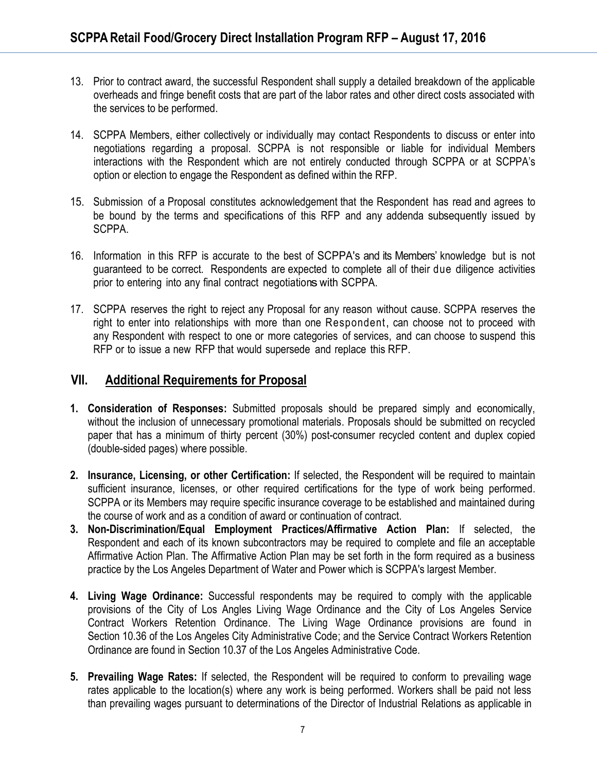- 13. Prior to contract award, the successful Respondent shall supply a detailed breakdown of the applicable overheads and fringe benefit costs that are part of the labor rates and other direct costs associated with the services to be performed.
- 14. SCPPA Members, either collectively or individually may contact Respondents to discuss or enter into negotiations regarding a proposal. SCPPA is not responsible or liable for individual Members interactions with the Respondent which are not entirely conducted through SCPPA or at SCPPA's option or election to engage the Respondent as defined within the RFP.
- 15. Submission of a Proposal constitutes acknowledgement that the Respondent has read and agrees to be bound by the terms and specifications of this RFP and any addenda subsequently issued by SCPPA.
- 16. Information in this RFP is accurate to the best of SCPPA's and its Members' knowledge but is not guaranteed to be correct. Respondents are expected to complete all of their due diligence activities prior to entering into any final contract negotiationswith SCPPA.
- 17. SCPPA reserves the right to reject any Proposal for any reason without cause. SCPPA reserves the right to enter into relationships with more than one Respondent, can choose not to proceed with any Respondent with respect to one or more categories of services, and can choose to suspend this RFP or to issue a new RFP that would supersede and replace this RFP.

### **VII. Additional Requirements for Proposal**

- **1. Consideration of Responses:** Submitted proposals should be prepared simply and economically, without the inclusion of unnecessary promotional materials. Proposals should be submitted on recycled paper that has a minimum of thirty percent (30%) post-consumer recycled content and duplex copied (double-sided pages) where possible.
- **2. Insurance, Licensing, or other Certification:** If selected, the Respondent will be required to maintain sufficient insurance, licenses, or other required certifications for the type of work being performed. SCPPA or its Members may require specific insurance coverage to be established and maintained during the course of work and as a condition of award or continuation of contract.
- **3. Non-Discrimination/Equal Employment Practices/Affirmative Action Plan:** If selected, the Respondent and each of its known subcontractors may be required to complete and file an acceptable Affirmative Action Plan. The Affirmative Action Plan may be set forth in the form required as a business practice by the Los Angeles Department of Water and Power which is SCPPA's largest Member.
- **4. Living Wage Ordinance:** Successful respondents may be required to comply with the applicable provisions of the City of Los Angles Living Wage Ordinance and the City of Los Angeles Service Contract Workers Retention Ordinance. The Living Wage Ordinance provisions are found in Section 10.36 of the Los Angeles City Administrative Code; and the Service Contract Workers Retention Ordinance are found in Section 10.37 of the Los Angeles Administrative Code.
- **5. Prevailing Wage Rates:** If selected, the Respondent will be required to conform to prevailing wage rates applicable to the location(s) where any work is being performed. Workers shall be paid not less than prevailing wages pursuant to determinations of the Director of Industrial Relations as applicable in